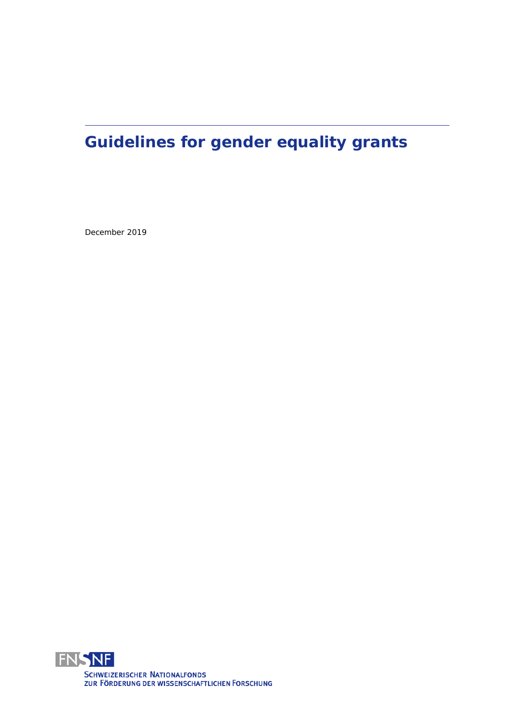# **Guidelines for gender equality grants**

December 2019

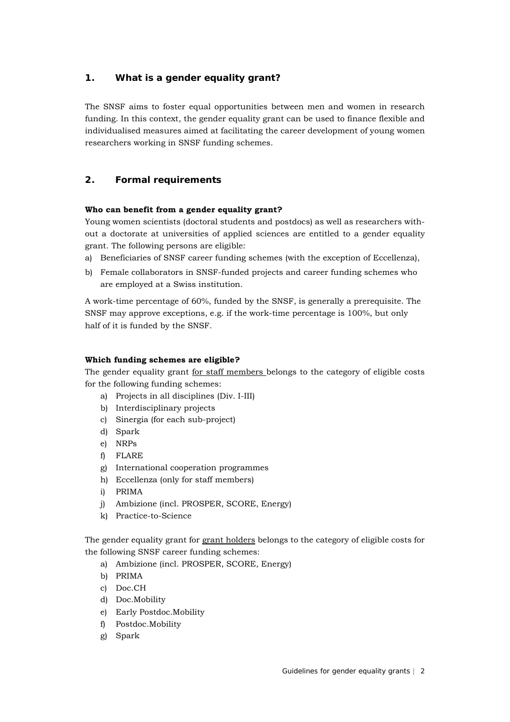# **1. What is a gender equality grant?**

The SNSF aims to foster equal opportunities between men and women in research funding. In this context, the gender equality grant can be used to finance flexible and individualised measures aimed at facilitating the career development of young women researchers working in SNSF funding schemes.

# **2. Formal requirements**

## **Who can benefit from a gender equality grant?**

Young women scientists (doctoral students and postdocs) as well as researchers without a doctorate at universities of applied sciences are entitled to a gender equality grant. The following persons are eligible:

- a) Beneficiaries of SNSF career funding schemes (with the exception of Eccellenza),
- b) Female collaborators in SNSF-funded projects and career funding schemes who are employed at a Swiss institution.

A work-time percentage of 60%, funded by the SNSF, is generally a prerequisite. The SNSF may approve exceptions, e.g. if the work-time percentage is 100%, but only half of it is funded by the SNSF.

## **Which funding schemes are eligible?**

The gender equality grant for staff members belongs to the category of eligible costs for the following funding schemes:

- a) Projects in all disciplines (Div. I-III)
- b) Interdisciplinary projects
- c) Sinergia (for each sub-project)
- d) Spark
- e) NRPs
- f) FLARE
- g) International cooperation programmes
- h) Eccellenza (only for staff members)
- i) PRIMA
- j) Ambizione (incl. PROSPER, SCORE, Energy)
- k) Practice-to-Science

The gender equality grant for grant holders belongs to the category of eligible costs for the following SNSF career funding schemes:

- a) Ambizione (incl. PROSPER, SCORE, Energy)
- b) PRIMA
- c) Doc.CH
- d) Doc.Mobility
- e) Early Postdoc.Mobility
- f) Postdoc.Mobility
- g) Spark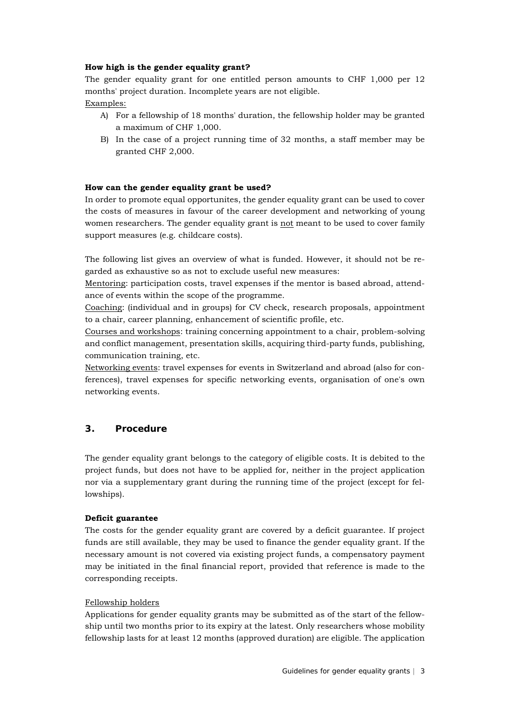## **How high is the gender equality grant?**

The gender equality grant for one entitled person amounts to CHF 1,000 per 12 months' project duration. Incomplete years are not eligible. Examples:

- A) For a fellowship of 18 months' duration, the fellowship holder may be granted a maximum of CHF 1,000.
- B) In the case of a project running time of 32 months, a staff member may be granted CHF 2,000.

#### **How can the gender equality grant be used?**

In order to promote equal opportunites, the gender equality grant can be used to cover the costs of measures in favour of the career development and networking of young women researchers. The gender equality grant is not meant to be used to cover family support measures (e.g. childcare costs).

The following list gives an overview of what is funded. However, it should not be regarded as exhaustive so as not to exclude useful new measures:

Mentoring: participation costs, travel expenses if the mentor is based abroad, attendance of events within the scope of the programme.

Coaching: (individual and in groups) for CV check, research proposals, appointment to a chair, career planning, enhancement of scientific profile, etc.

Courses and workshops: training concerning appointment to a chair, problem-solving and conflict management, presentation skills, acquiring third-party funds, publishing, communication training, etc.

Networking events: travel expenses for events in Switzerland and abroad (also for conferences), travel expenses for specific networking events, organisation of one's own networking events.

# **3. Procedure**

The gender equality grant belongs to the category of eligible costs. It is debited to the project funds, but does not have to be applied for, neither in the project application nor via a supplementary grant during the running time of the project (except for fellowships).

#### **Deficit guarantee**

The costs for the gender equality grant are covered by a deficit guarantee. If project funds are still available, they may be used to finance the gender equality grant. If the necessary amount is not covered via existing project funds, a compensatory payment may be initiated in the final financial report, provided that reference is made to the corresponding receipts.

#### Fellowship holders

Applications for gender equality grants may be submitted as of the start of the fellowship until two months prior to its expiry at the latest. Only researchers whose mobility fellowship lasts for at least 12 months (approved duration) are eligible. The application